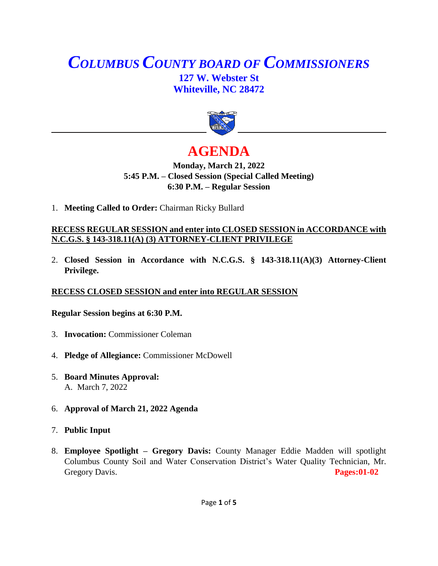## *COLUMBUS COUNTY BOARD OF COMMISSIONERS* **127 W. Webster St Whiteville, NC 28472**



# **AGENDA**

## **Monday, March 21, 2022 5:45 P.M. – Closed Session (Special Called Meeting) 6:30 P.M. – Regular Session**

1. **Meeting Called to Order:** Chairman Ricky Bullard

## **RECESS REGULAR SESSION and enter into CLOSED SESSION in ACCORDANCE with N.C.G.S. § 143-318.11(A) (3) ATTORNEY-CLIENT PRIVILEGE**

2. **Closed Session in Accordance with N.C.G.S. § 143-318.11(A)(3) Attorney-Client Privilege.**

## **RECESS CLOSED SESSION and enter into REGULAR SESSION**

#### **Regular Session begins at 6:30 P.M.**

- 3. **Invocation:** Commissioner Coleman
- 4. **Pledge of Allegiance:** Commissioner McDowell
- 5. **Board Minutes Approval:** A. March 7, 2022
- 6. **Approval of March 21, 2022 Agenda**
- 7. **Public Input**
- 8. **Employee Spotlight – Gregory Davis:** County Manager Eddie Madden will spotlight Columbus County Soil and Water Conservation District's Water Quality Technician, Mr. Gregory Davis. **Pages:01-02**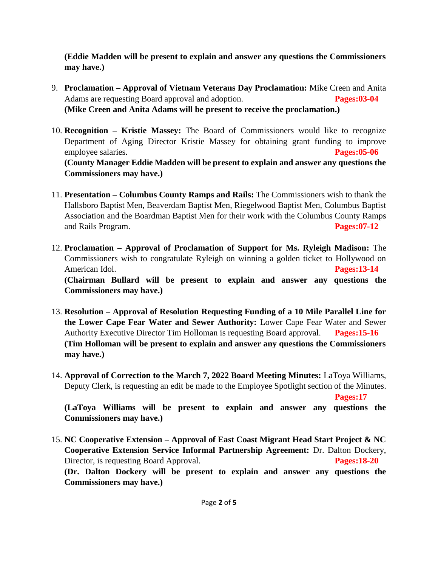**(Eddie Madden will be present to explain and answer any questions the Commissioners may have.)**

- 9. **Proclamation – Approval of Vietnam Veterans Day Proclamation:** Mike Creen and Anita Adams are requesting Board approval and adoption. **Pages:03-04 (Mike Creen and Anita Adams will be present to receive the proclamation.)**
- 10. **Recognition – Kristie Massey:** The Board of Commissioners would like to recognize Department of Aging Director Kristie Massey for obtaining grant funding to improve employee salaries. **Pages:05-06 (County Manager Eddie Madden will be present to explain and answer any questions the Commissioners may have.)**
- 11. **Presentation – Columbus County Ramps and Rails:** The Commissioners wish to thank the Hallsboro Baptist Men, Beaverdam Baptist Men, Riegelwood Baptist Men, Columbus Baptist Association and the Boardman Baptist Men for their work with the Columbus County Ramps and Rails Program. **Pages:07-12**
- 12. **Proclamation – Approval of Proclamation of Support for Ms. Ryleigh Madison:** The Commissioners wish to congratulate Ryleigh on winning a golden ticket to Hollywood on American Idol. **Pages:13-14 (Chairman Bullard will be present to explain and answer any questions the Commissioners may have.)**
- 13. **Resolution – Approval of Resolution Requesting Funding of a 10 Mile Parallel Line for the Lower Cape Fear Water and Sewer Authority:** Lower Cape Fear Water and Sewer Authority Executive Director Tim Holloman is requesting Board approval. **Pages:15-16 (Tim Holloman will be present to explain and answer any questions the Commissioners may have.)**
- 14. **Approval of Correction to the March 7, 2022 Board Meeting Minutes:** LaToya Williams, Deputy Clerk, is requesting an edit be made to the Employee Spotlight section of the Minutes.

**Pages:17**

**(LaToya Williams will be present to explain and answer any questions the Commissioners may have.)**

15. **NC Cooperative Extension – Approval of East Coast Migrant Head Start Project & NC Cooperative Extension Service Informal Partnership Agreement:** Dr. Dalton Dockery, Director, is requesting Board Approval. **Pages:18-20 (Dr. Dalton Dockery will be present to explain and answer any questions the Commissioners may have.)**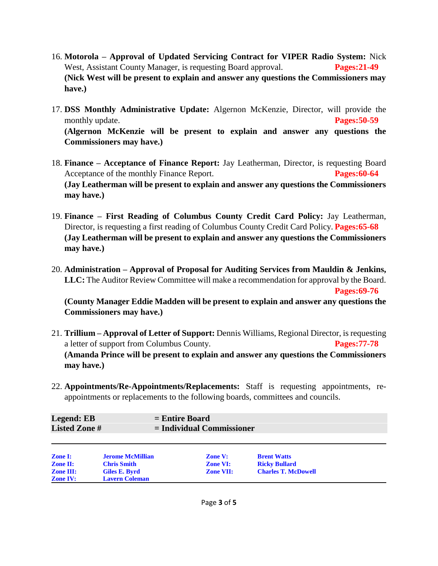- 16. **Motorola – Approval of Updated Servicing Contract for VIPER Radio System:** Nick West, Assistant County Manager, is requesting Board approval. **Pages:21-49 (Nick West will be present to explain and answer any questions the Commissioners may have.)**
- 17. **DSS Monthly Administrative Update:** Algernon McKenzie, Director, will provide the monthly update. **Pages:50-59 (Algernon McKenzie will be present to explain and answer any questions the Commissioners may have.)**
- 18. **Finance – Acceptance of Finance Report:** Jay Leatherman, Director, is requesting Board Acceptance of the monthly Finance Report. **Pages:60-64 (Jay Leatherman will be present to explain and answer any questions the Commissioners may have.)**
- 19. **Finance – First Reading of Columbus County Credit Card Policy:** Jay Leatherman, Director, is requesting a first reading of Columbus County Credit Card Policy. **Pages:65-68 (Jay Leatherman will be present to explain and answer any questions the Commissioners may have.)**
- 20. **Administration – Approval of Proposal for Auditing Services from Mauldin & Jenkins, LLC:** The Auditor Review Committee will make a recommendation for approval by the Board. **Pages:69-76**

**(County Manager Eddie Madden will be present to explain and answer any questions the Commissioners may have.)**

- 21. **Trillium – Approval of Letter of Support:** Dennis Williams, Regional Director, is requesting a letter of support from Columbus County. **Pages:77-78 (Amanda Prince will be present to explain and answer any questions the Commissioners may have.)**
- 22. **Appointments/Re-Appointments/Replacements:** Staff is requesting appointments, reappointments or replacements to the following boards, committees and councils.

| Legend: EB           | $=$ Entire Board            |
|----------------------|-----------------------------|
| <b>Listed Zone #</b> | $=$ Individual Commissioner |
|                      |                             |

| <b>Zone I:</b>   | <b>Jerome McMillian</b> | <b>Zone V:</b>   | <b>Brent Watts</b>         |
|------------------|-------------------------|------------------|----------------------------|
| <b>Zone II:</b>  | <b>Chris Smith</b>      | <b>Zone VI:</b>  | <b>Ricky Bullard</b>       |
| <b>Zone III:</b> | Giles E. Byrd           | <b>Zone VII:</b> | <b>Charles T. McDowell</b> |
| <b>Zone IV:</b>  | <b>Lavern Coleman</b>   |                  |                            |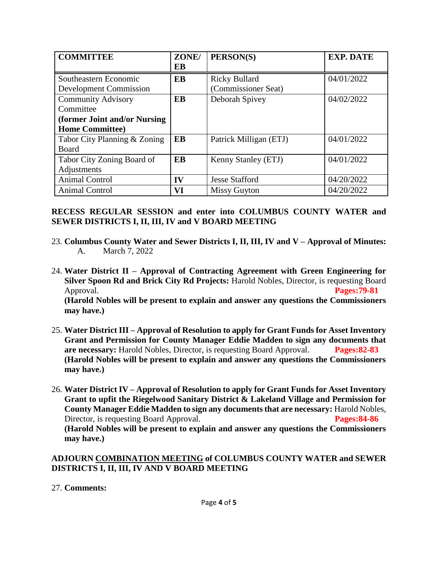| <b>COMMITTEE</b>              | ZONE/ | PERSON(S)              | <b>EXP. DATE</b> |
|-------------------------------|-------|------------------------|------------------|
|                               | EB    |                        |                  |
| Southeastern Economic         | EB    | <b>Ricky Bullard</b>   | 04/01/2022       |
| <b>Development Commission</b> |       | (Commissioner Seat)    |                  |
| <b>Community Advisory</b>     | EB    | Deborah Spivey         | 04/02/2022       |
| Committee                     |       |                        |                  |
| (former Joint and/or Nursing  |       |                        |                  |
| <b>Home Committee)</b>        |       |                        |                  |
| Tabor City Planning & Zoning  | EB    | Patrick Milligan (ETJ) | 04/01/2022       |
| Board                         |       |                        |                  |
| Tabor City Zoning Board of    | EB    | Kenny Stanley (ETJ)    | 04/01/2022       |
| Adjustments                   |       |                        |                  |
| <b>Animal Control</b>         | IV    | <b>Jesse Stafford</b>  | 04/20/2022       |
| Animal Control                | VI    | <b>Missy Guyton</b>    | 04/20/2022       |

#### **RECESS REGULAR SESSION and enter into COLUMBUS COUNTY WATER and SEWER DISTRICTS I, II, III, IV and V BOARD MEETING**

- 23. **Columbus County Water and Sewer Districts I, II, III, IV and V – Approval of Minutes:** A. March 7, 2022
- 24. **Water District II – Approval of Contracting Agreement with Green Engineering for Silver Spoon Rd and Brick City Rd Projects:** Harold Nobles, Director, is requesting Board Approval. **Pages:79-81 (Harold Nobles will be present to explain and answer any questions the Commissioners may have.)**
- 25. **Water District III – Approval of Resolution to apply for Grant Funds for Asset Inventory Grant and Permission for County Manager Eddie Madden to sign any documents that are necessary:** Harold Nobles, Director, is requesting Board Approval. **Pages:82-83 (Harold Nobles will be present to explain and answer any questions the Commissioners may have.)**
- 26. **Water District IV – Approval of Resolution to apply for Grant Funds for Asset Inventory Grant to upfit the Riegelwood Sanitary District & Lakeland Village and Permission for County Manager Eddie Madden to sign any documents that are necessary:** Harold Nobles, Director, is requesting Board Approval. **Pages:84-86 (Harold Nobles will be present to explain and answer any questions the Commissioners may have.)**

#### **ADJOURN COMBINATION MEETING of COLUMBUS COUNTY WATER and SEWER DISTRICTS I, II, III, IV AND V BOARD MEETING**

## 27. **Comments:**